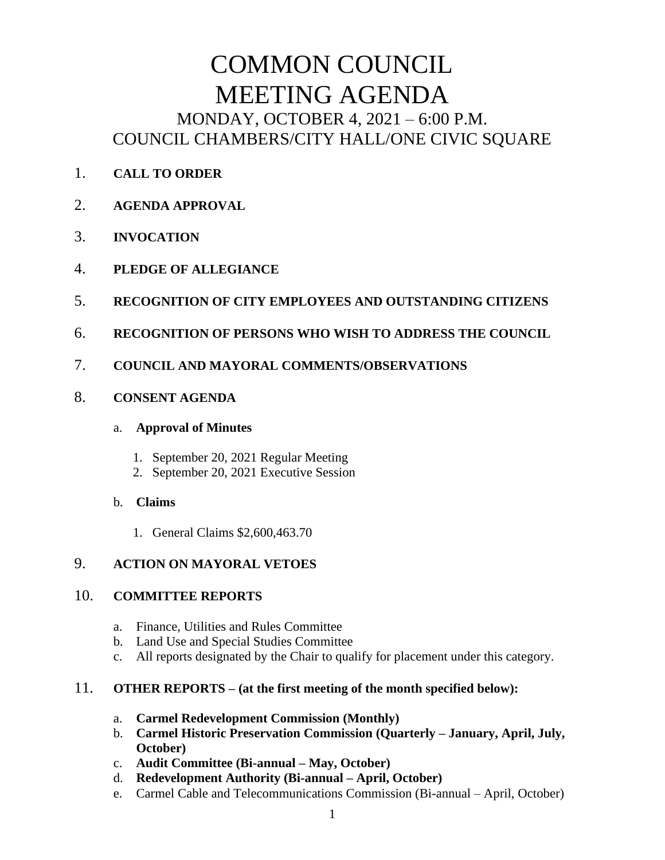# COMMON COUNCIL MEETING AGENDA MONDAY, OCTOBER 4, 2021 – 6:00 P.M. COUNCIL CHAMBERS/CITY HALL/ONE CIVIC SQUARE

- 1. **CALL TO ORDER**
- 2. **AGENDA APPROVAL**
- 3. **INVOCATION**
- 4. **PLEDGE OF ALLEGIANCE**
- 5. **RECOGNITION OF CITY EMPLOYEES AND OUTSTANDING CITIZENS**
- 6. **RECOGNITION OF PERSONS WHO WISH TO ADDRESS THE COUNCIL**
- 7. **COUNCIL AND MAYORAL COMMENTS/OBSERVATIONS**
- 8. **CONSENT AGENDA**

#### a. **Approval of Minutes**

- 1. September 20, 2021 Regular Meeting
- 2. September 20, 2021 Executive Session
- b. **Claims**
	- 1. General Claims \$2,600,463.70

# 9. **ACTION ON MAYORAL VETOES**

## 10. **COMMITTEE REPORTS**

- a. Finance, Utilities and Rules Committee
- b. Land Use and Special Studies Committee
- c. All reports designated by the Chair to qualify for placement under this category.

## 11. **OTHER REPORTS – (at the first meeting of the month specified below):**

- a. **Carmel Redevelopment Commission (Monthly)**
- b. **Carmel Historic Preservation Commission (Quarterly – January, April, July, October)**
- c. **Audit Committee (Bi-annual – May, October)**
- d. **Redevelopment Authority (Bi-annual – April, October)**
- e. Carmel Cable and Telecommunications Commission (Bi-annual April, October)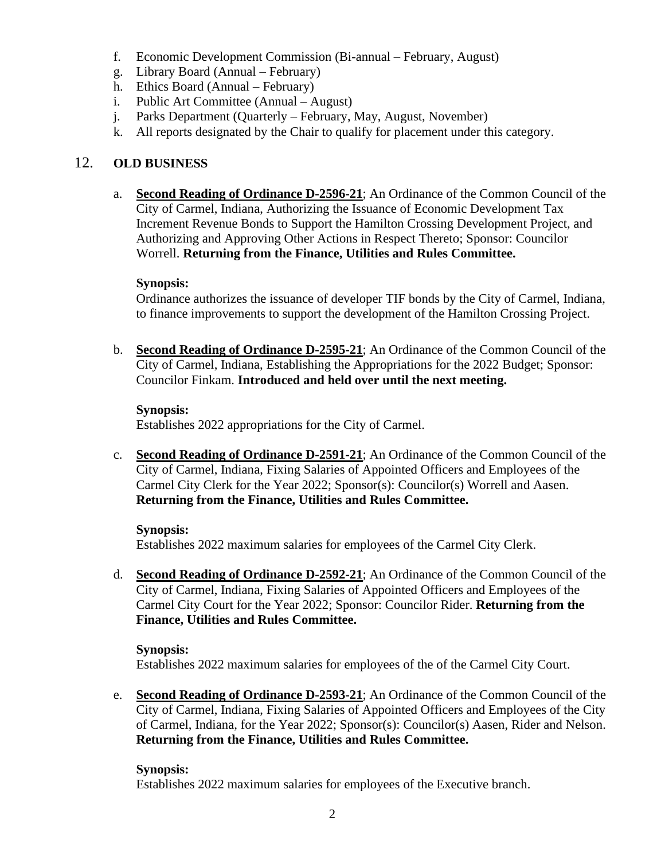- f. Economic Development Commission (Bi-annual February, August)
- g. Library Board (Annual February)
- h. Ethics Board (Annual February)
- i. Public Art Committee (Annual August)
- j. Parks Department (Quarterly February, May, August, November)
- k. All reports designated by the Chair to qualify for placement under this category.

## 12. **OLD BUSINESS**

a. **Second Reading of Ordinance D-2596-21**; An Ordinance of the Common Council of the City of Carmel, Indiana, Authorizing the Issuance of Economic Development Tax Increment Revenue Bonds to Support the Hamilton Crossing Development Project, and Authorizing and Approving Other Actions in Respect Thereto; Sponsor: Councilor Worrell. **Returning from the Finance, Utilities and Rules Committee.**

#### **Synopsis:**

Ordinance authorizes the issuance of developer TIF bonds by the City of Carmel, Indiana, to finance improvements to support the development of the Hamilton Crossing Project.

b. **Second Reading of Ordinance D-2595-21**; An Ordinance of the Common Council of the City of Carmel, Indiana, Establishing the Appropriations for the 2022 Budget; Sponsor: Councilor Finkam. **Introduced and held over until the next meeting.**

#### **Synopsis:**

Establishes 2022 appropriations for the City of Carmel.

c. **Second Reading of Ordinance D-2591-21**; An Ordinance of the Common Council of the City of Carmel, Indiana, Fixing Salaries of Appointed Officers and Employees of the Carmel City Clerk for the Year 2022; Sponsor(s): Councilor(s) Worrell and Aasen. **Returning from the Finance, Utilities and Rules Committee.**

#### **Synopsis:**

Establishes 2022 maximum salaries for employees of the Carmel City Clerk.

d. **Second Reading of Ordinance D-2592-21**; An Ordinance of the Common Council of the City of Carmel, Indiana, Fixing Salaries of Appointed Officers and Employees of the Carmel City Court for the Year 2022; Sponsor: Councilor Rider. **Returning from the Finance, Utilities and Rules Committee.**

#### **Synopsis:** Establishes 2022 maximum salaries for employees of the of the Carmel City Court.

e. **Second Reading of Ordinance D-2593-21**; An Ordinance of the Common Council of the City of Carmel, Indiana, Fixing Salaries of Appointed Officers and Employees of the City of Carmel, Indiana, for the Year 2022; Sponsor(s): Councilor(s) Aasen, Rider and Nelson. **Returning from the Finance, Utilities and Rules Committee.**

## **Synopsis:**

Establishes 2022 maximum salaries for employees of the Executive branch.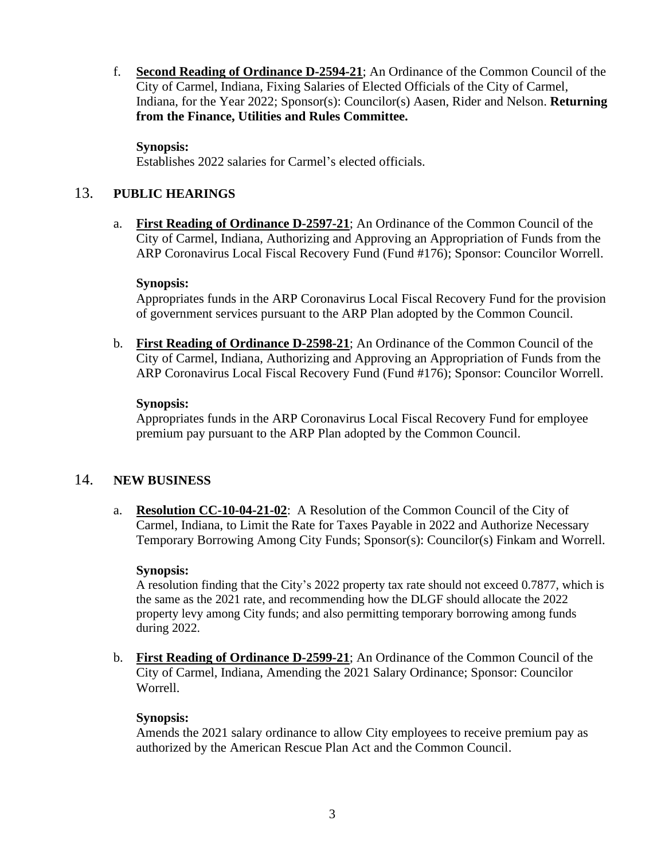f. **Second Reading of Ordinance D-2594-21**; An Ordinance of the Common Council of the City of Carmel, Indiana, Fixing Salaries of Elected Officials of the City of Carmel, Indiana, for the Year 2022; Sponsor(s): Councilor(s) Aasen, Rider and Nelson. **Returning from the Finance, Utilities and Rules Committee.**

#### **Synopsis:**

Establishes 2022 salaries for Carmel's elected officials.

## 13. **PUBLIC HEARINGS**

a. **First Reading of Ordinance D-2597-21**; An Ordinance of the Common Council of the City of Carmel, Indiana, Authorizing and Approving an Appropriation of Funds from the ARP Coronavirus Local Fiscal Recovery Fund (Fund #176); Sponsor: Councilor Worrell.

#### **Synopsis:**

Appropriates funds in the ARP Coronavirus Local Fiscal Recovery Fund for the provision of government services pursuant to the ARP Plan adopted by the Common Council.

b. **First Reading of Ordinance D-2598-21**; An Ordinance of the Common Council of the City of Carmel, Indiana, Authorizing and Approving an Appropriation of Funds from the ARP Coronavirus Local Fiscal Recovery Fund (Fund #176); Sponsor: Councilor Worrell.

#### **Synopsis:**

Appropriates funds in the ARP Coronavirus Local Fiscal Recovery Fund for employee premium pay pursuant to the ARP Plan adopted by the Common Council.

## 14. **NEW BUSINESS**

a. **Resolution CC-10-04-21-02**: A Resolution of the Common Council of the City of Carmel, Indiana, to Limit the Rate for Taxes Payable in 2022 and Authorize Necessary Temporary Borrowing Among City Funds; Sponsor(s): Councilor(s) Finkam and Worrell.

## **Synopsis:**

A resolution finding that the City's 2022 property tax rate should not exceed 0.7877, which is the same as the 2021 rate, and recommending how the DLGF should allocate the 2022 property levy among City funds; and also permitting temporary borrowing among funds during 2022.

b. **First Reading of Ordinance D-2599-21**; An Ordinance of the Common Council of the City of Carmel, Indiana, Amending the 2021 Salary Ordinance; Sponsor: Councilor Worrell.

## **Synopsis:**

Amends the 2021 salary ordinance to allow City employees to receive premium pay as authorized by the American Rescue Plan Act and the Common Council.